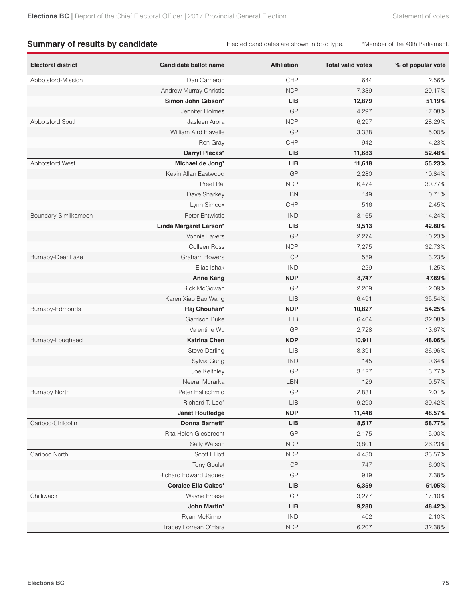## **Summary of results by candidate** Elected candidates are shown in bold type. \*Member of the 40th Parliament.

| <b>Electoral district</b> | <b>Candidate ballot name</b> | <b>Affiliation</b> | <b>Total valid votes</b> | % of popular vote |
|---------------------------|------------------------------|--------------------|--------------------------|-------------------|
| Abbotsford-Mission        | Dan Cameron                  | CHP                | 644                      | 2.56%             |
|                           | Andrew Murray Christie       | <b>NDP</b>         | 7,339                    | 29.17%            |
|                           | Simon John Gibson*           | <b>LIB</b>         | 12,879                   | 51.19%            |
|                           | Jennifer Holmes              | GP                 | 4,297                    | 17.08%            |
| Abbotsford South          | Jasleen Arora                | <b>NDP</b>         | 6,297                    | 28.29%            |
|                           | William Aird Flavelle        | GP                 | 3,338                    | 15.00%            |
|                           | Ron Gray                     | CHP                | 942                      | 4.23%             |
|                           | Darryl Plecas*               | <b>LIB</b>         | 11,683                   | 52.48%            |
| Abbotsford West           | Michael de Jong*             | <b>LIB</b>         | 11,618                   | 55.23%            |
|                           | Kevin Allan Eastwood         | GP                 | 2,280                    | 10.84%            |
|                           | Preet Rai                    | <b>NDP</b>         | 6,474                    | 30.77%            |
|                           | Dave Sharkey                 | LBN                | 149                      | 0.71%             |
|                           | Lynn Simcox                  | CHP                | 516                      | 2.45%             |
| Boundary-Similkameen      | Peter Entwistle              | <b>IND</b>         | 3,165                    | 14.24%            |
|                           | Linda Margaret Larson*       | <b>LIB</b>         | 9,513                    | 42.80%            |
|                           | Vonnie Lavers                | GP                 | 2,274                    | 10.23%            |
|                           | <b>Colleen Ross</b>          | <b>NDP</b>         | 7,275                    | 32.73%            |
| Burnaby-Deer Lake         | <b>Graham Bowers</b>         | CP                 | 589                      | 3.23%             |
|                           | Elias Ishak                  | <b>IND</b>         | 229                      | 1.25%             |
|                           | <b>Anne Kang</b>             | <b>NDP</b>         | 8,747                    | 47.89%            |
|                           | <b>Rick McGowan</b>          | GP                 | 2,209                    | 12.09%            |
|                           | Karen Xiao Bao Wang          | <b>LIB</b>         | 6,491                    | 35.54%            |
| Burnaby-Edmonds           | Raj Chouhan*                 | <b>NDP</b>         | 10,827                   | 54.25%            |
|                           | <b>Garrison Duke</b>         | <b>LIB</b>         | 6,404                    | 32.08%            |
|                           | Valentine Wu                 | GP                 | 2,728                    | 13.67%            |
| Burnaby-Lougheed          | <b>Katrina Chen</b>          | <b>NDP</b>         | 10,911                   | 48.06%            |
|                           | <b>Steve Darling</b>         | LIB                | 8,391                    | 36.96%            |
|                           | Sylvia Gung                  | <b>IND</b>         | 145                      | 0.64%             |
|                           | Joe Keithley                 | GP                 | 3,127                    | 13.77%            |
|                           | Neeraj Murarka               | <b>LBN</b>         | 129                      | 0.57%             |
| Burnaby North             | Peter Hallschmid             | GP                 | 2,831                    | 12.01%            |
|                           | Richard T. Lee*              | LIB                | 9,290                    | 39.42%            |
|                           | <b>Janet Routledge</b>       | <b>NDP</b>         | 11,448                   | 48.57%            |
| Cariboo-Chilcotin         | Donna Barnett*               | LIB                | 8,517                    | 58.77%            |
|                           | Rita Helen Giesbrecht        | GP                 | 2,175                    | 15.00%            |
|                           | Sally Watson                 | <b>NDP</b>         | 3,801                    | 26.23%            |
| Cariboo North             | Scott Elliott                | <b>NDP</b>         | 4,430                    | 35.57%            |
|                           | <b>Tony Goulet</b>           | CP                 | 747                      | 6.00%             |
|                           | <b>Richard Edward Jaques</b> | GP                 | 919                      | 7.38%             |
|                           | <b>Coralee Ella Oakes*</b>   | LIB                | 6,359                    | 51.05%            |
| Chilliwack                | Wayne Froese                 | ${\sf GP}$         | 3,277                    | 17.10%            |
|                           | John Martin*                 | ${\sf LIB}$        | 9,280                    | 48.42%            |
|                           | Ryan McKinnon                | <b>IND</b>         | 402                      | 2.10%             |
|                           | Tracey Lorrean O'Hara        | <b>NDP</b>         | 6,207                    | 32.38%            |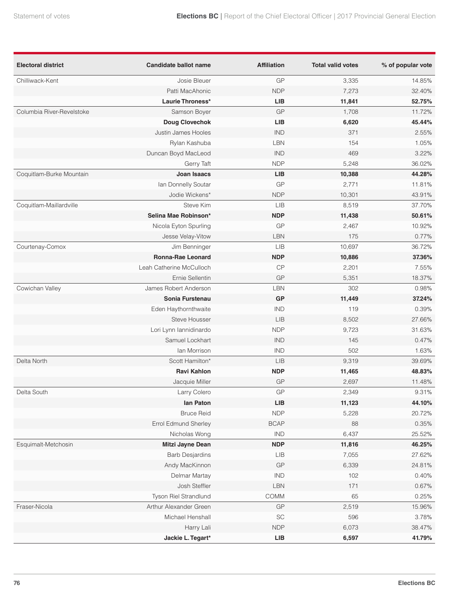| <b>Electoral district</b> | <b>Candidate ballot name</b> | <b>Affiliation</b>          | <b>Total valid votes</b> | % of popular vote |
|---------------------------|------------------------------|-----------------------------|--------------------------|-------------------|
| Chilliwack-Kent           | Josie Bleuer                 | GP                          | 3,335                    | 14.85%            |
|                           | Patti MacAhonic              | <b>NDP</b>                  | 7,273                    | 32.40%            |
|                           | Laurie Throness*             | <b>LIB</b>                  | 11,841                   | 52.75%            |
| Columbia River-Revelstoke | Samson Boyer                 | GP                          | 1,708                    | 11.72%            |
|                           | <b>Doug Clovechok</b>        | <b>LIB</b>                  | 6,620                    | 45.44%            |
|                           | Justin James Hooles          | <b>IND</b>                  | 371                      | 2.55%             |
|                           | Rylan Kashuba                | <b>LBN</b>                  | 154                      | 1.05%             |
|                           | Duncan Boyd MacLeod          | <b>IND</b>                  | 469                      | 3.22%             |
|                           | Gerry Taft                   | <b>NDP</b>                  | 5,248                    | 36.02%            |
| Coquitlam-Burke Mountain  | Joan Isaacs                  | <b>LIB</b>                  | 10,388                   | 44.28%            |
|                           | Ian Donnelly Soutar          | GP                          | 2,771                    | 11.81%            |
|                           | Jodie Wickens*               | <b>NDP</b>                  | 10,301                   | 43.91%            |
| Coquitlam-Maillardville   | <b>Steve Kim</b>             | <b>LIB</b>                  | 8,519                    | 37.70%            |
|                           | Selina Mae Robinson*         | <b>NDP</b>                  | 11,438                   | 50.61%            |
|                           | Nicola Eyton Spurling        | GP                          | 2,467                    | 10.92%            |
|                           | Jesse Velay-Vitow            | <b>LBN</b>                  | 175                      | 0.77%             |
| Courtenay-Comox           | Jim Benninger                | <b>LIB</b>                  | 10,697                   | 36.72%            |
|                           | <b>Ronna-Rae Leonard</b>     | <b>NDP</b>                  | 10,886                   | 37.36%            |
|                           | Leah Catherine McCulloch     | CP                          | 2,201                    | 7.55%             |
|                           | Ernie Sellentin              | GP                          | 5,351                    | 18.37%            |
| Cowichan Valley           | James Robert Anderson        | <b>LBN</b>                  | 302                      | 0.98%             |
|                           | Sonia Furstenau              | GP                          | 11,449                   | 37.24%            |
|                           | Eden Haythornthwaite         | <b>IND</b>                  | 119                      | 0.39%             |
|                           | <b>Steve Housser</b>         | <b>LIB</b>                  | 8,502                    | 27.66%            |
|                           | Lori Lynn Iannidinardo       | <b>NDP</b>                  | 9,723                    | 31.63%            |
|                           | Samuel Lockhart              | <b>IND</b>                  | 145                      | 0.47%             |
|                           | lan Morrison                 | <b>IND</b>                  | 502                      | 1.63%             |
| Delta North               | Scott Hamilton*              | <b>LIB</b>                  | 9,319                    | 39.69%            |
|                           | Ravi Kahlon                  | <b>NDP</b>                  | 11,465                   | 48.83%            |
|                           | Jacquie Miller               | GP                          | 2,697                    | 11.48%            |
| Delta South               | Larry Colero                 | GP                          | 2,349                    | 9.31%             |
|                           | lan Paton                    | <b>LIB</b>                  | 11,123                   | 44.10%            |
|                           | <b>Bruce Reid</b>            | <b>NDP</b>                  | 5,228                    | 20.72%            |
|                           | Errol Edmund Sherley         | <b>BCAP</b>                 | 88                       | 0.35%             |
|                           | Nicholas Wong                | <b>IND</b>                  | 6,437                    | 25.52%            |
| Esquimalt-Metchosin       | Mitzi Jayne Dean             | <b>NDP</b>                  | 11,816                   | 46.25%            |
|                           | <b>Barb Desjardins</b>       | <b>LIB</b>                  | 7,055                    | 27.62%            |
|                           | Andy MacKinnon               | $\mathsf{GP}$               | 6,339                    | 24.81%            |
|                           | Delmar Martay                | <b>IND</b>                  | 102                      | 0.40%             |
|                           | Josh Steffler                | LBN                         | 171                      | 0.67%             |
|                           | Tyson Riel Strandlund        | COMM                        | 65                       | 0.25%             |
| Fraser-Nicola             | Arthur Alexander Green       | GP                          | 2,519                    | 15.96%            |
|                           | Michael Henshall             | $\protect\operatorname{SC}$ | 596                      | 3.78%             |
|                           | Harry Lali                   | <b>NDP</b>                  | 6,073                    | 38.47%            |
|                           | Jackie L. Tegart*            | LIB                         | 6,597                    | 41.79%            |
|                           |                              |                             |                          |                   |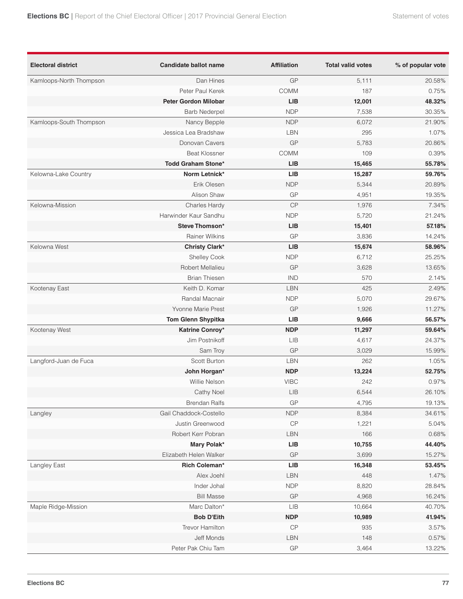| <b>Electoral district</b> | Candidate ballot name       | <b>Affiliation</b> | <b>Total valid votes</b> | % of popular vote |
|---------------------------|-----------------------------|--------------------|--------------------------|-------------------|
| Kamloops-North Thompson   | Dan Hines                   | GP                 | 5,111                    | 20.58%            |
|                           | Peter Paul Kerek            | <b>COMM</b>        | 187                      | 0.75%             |
|                           | <b>Peter Gordon Milobar</b> | <b>LIB</b>         | 12,001                   | 48.32%            |
|                           | <b>Barb Nederpel</b>        | <b>NDP</b>         | 7,538                    | 30.35%            |
| Kamloops-South Thompson   | Nancy Bepple                | <b>NDP</b>         | 6,072                    | 21.90%            |
|                           | Jessica Lea Bradshaw        | <b>LBN</b>         | 295                      | 1.07%             |
|                           | Donovan Cavers              | GP                 | 5,783                    | 20.86%            |
|                           | <b>Beat Klossner</b>        | <b>COMM</b>        | 109                      | 0.39%             |
|                           | <b>Todd Graham Stone*</b>   | <b>LIB</b>         | 15,465                   | 55.78%            |
| Kelowna-Lake Country      | Norm Letnick*               | LIB                | 15,287                   | 59.76%            |
|                           | Erik Olesen                 | <b>NDP</b>         | 5,344                    | 20.89%            |
|                           | Alison Shaw                 | GP                 | 4,951                    | 19.35%            |
| Kelowna-Mission           | Charles Hardy               | CP                 | 1,976                    | 7.34%             |
|                           | Harwinder Kaur Sandhu       | <b>NDP</b>         | 5,720                    | 21.24%            |
|                           | Steve Thomson*              | <b>LIB</b>         | 15,401                   | 57.18%            |
|                           | <b>Rainer Wilkins</b>       | GP                 | 3,836                    | 14.24%            |
| Kelowna West              | <b>Christy Clark*</b>       | <b>LIB</b>         | 15,674                   | 58.96%            |
|                           | Shelley Cook                | <b>NDP</b>         | 6,712                    | 25.25%            |
|                           | Robert Mellalieu            | GP                 | 3,628                    | 13.65%            |
|                           | <b>Brian Thiesen</b>        | <b>IND</b>         | 570                      | 2.14%             |
| Kootenay East             | Keith D. Komar              | <b>LBN</b>         | 425                      | 2.49%             |
|                           | Randal Macnair              | <b>NDP</b>         | 5,070                    | 29.67%            |
|                           | Yvonne Marie Prest          | GP                 | 1,926                    | 11.27%            |
|                           | <b>Tom Glenn Shypitka</b>   | <b>LIB</b>         | 9,666                    | 56.57%            |
| Kootenay West             | Katrine Conroy*             | <b>NDP</b>         | 11,297                   | 59.64%            |
|                           | Jim Postnikoff              | LIB                | 4,617                    | 24.37%            |
|                           | Sam Troy                    | GP                 | 3,029                    | 15.99%            |
| Langford-Juan de Fuca     | Scott Burton                | <b>LBN</b>         | 262                      | 1.05%             |
|                           | John Horgan*                | <b>NDP</b>         | 13,224                   | 52.75%            |
|                           | Willie Nelson               | <b>VIBC</b>        | 242                      | 0.97%             |
|                           | Cathy Noel                  | ${\sf LIB}$        | 6,544                    | 26.10%            |
|                           | <b>Brendan Ralfs</b>        | GP                 | 4,795                    | 19.13%            |
| Langley                   | Gail Chaddock-Costello      | <b>NDP</b>         | 8,384                    | 34.61%            |
|                           | Justin Greenwood            | CP                 | 1,221                    | 5.04%             |
|                           | Robert Kerr Pobran          | <b>LBN</b>         | 166                      | 0.68%             |
|                           | Mary Polak*                 | LIB                | 10,755                   | 44.40%            |
|                           | Elizabeth Helen Walker      | GP                 | 3,699                    | 15.27%            |
| Langley East              | <b>Rich Coleman*</b>        | LIB                | 16,348                   | 53.45%            |
|                           | Alex Joehl                  | LBN                | 448                      | 1.47%             |
|                           | Inder Johal                 | <b>NDP</b>         | 8,820                    | 28.84%            |
|                           | <b>Bill Masse</b>           | GP                 | 4,968                    | 16.24%            |
| Maple Ridge-Mission       | Marc Dalton*                | ${\sf LIB}$        | 10,664                   | 40.70%            |
|                           | <b>Bob D'Eith</b>           | <b>NDP</b>         | 10,989                   | 41.94%            |
|                           | Trevor Hamilton             | CP                 | 935                      | 3.57%             |
|                           | Jeff Monds                  | <b>LBN</b>         | 148                      | 0.57%             |
|                           | Peter Pak Chiu Tam          | GP                 | 3,464                    | 13.22%            |
|                           |                             |                    |                          |                   |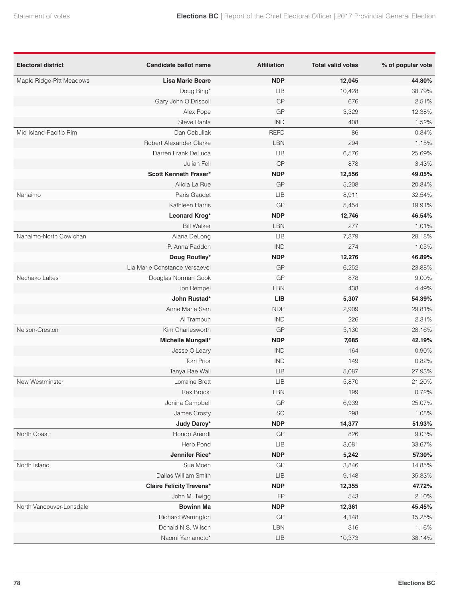| <b>Electoral district</b> | <b>Candidate ballot name</b>    | <b>Affiliation</b> | <b>Total valid votes</b> | % of popular vote |
|---------------------------|---------------------------------|--------------------|--------------------------|-------------------|
| Maple Ridge-Pitt Meadows  | <b>Lisa Marie Beare</b>         | <b>NDP</b>         | 12,045                   | 44.80%            |
|                           | Doug Bing*                      | <b>LIB</b>         | 10,428                   | 38.79%            |
|                           | Gary John O'Driscoll            | CP                 | 676                      | 2.51%             |
|                           | Alex Pope                       | GP                 | 3,329                    | 12.38%            |
|                           | Steve Ranta                     | <b>IND</b>         | 408                      | 1.52%             |
| Mid Island-Pacific Rim    | Dan Cebuliak                    | <b>REFD</b>        | 86                       | 0.34%             |
|                           | Robert Alexander Clarke         | <b>LBN</b>         | 294                      | 1.15%             |
|                           | Darren Frank DeLuca             | <b>LIB</b>         | 6,576                    | 25.69%            |
|                           | Julian Fell                     | CP                 | 878                      | 3.43%             |
|                           | <b>Scott Kenneth Fraser*</b>    | <b>NDP</b>         | 12,556                   | 49.05%            |
|                           | Alicia La Rue                   | GP                 | 5,208                    | 20.34%            |
| Nanaimo                   | Paris Gaudet                    | <b>LIB</b>         | 8,911                    | 32.54%            |
|                           | Kathleen Harris                 | GP                 | 5,454                    | 19.91%            |
|                           | Leonard Krog*                   | <b>NDP</b>         | 12,746                   | 46.54%            |
|                           | <b>Bill Walker</b>              | <b>LBN</b>         | 277                      | 1.01%             |
| Nanaimo-North Cowichan    | Alana DeLong                    | <b>LIB</b>         | 7,379                    | 28.18%            |
|                           | P. Anna Paddon                  | <b>IND</b>         | 274                      | 1.05%             |
|                           | Doug Routley*                   | <b>NDP</b>         | 12,276                   | 46.89%            |
|                           | Lia Marie Constance Versaevel   | GP                 | 6,252                    | 23.88%            |
| Nechako Lakes             | Douglas Norman Gook             | GP                 | 878                      | 9.00%             |
|                           | Jon Rempel                      | <b>LBN</b>         | 438                      | 4.49%             |
|                           | John Rustad*                    | <b>LIB</b>         | 5,307                    | 54.39%            |
|                           | Anne Marie Sam                  | <b>NDP</b>         | 2,909                    | 29.81%            |
|                           | Al Trampuh                      | <b>IND</b>         | 226                      | 2.31%             |
| Nelson-Creston            | Kim Charlesworth                | GP                 | 5,130                    | 28.16%            |
|                           | <b>Michelle Mungall*</b>        | <b>NDP</b>         | 7,685                    | 42.19%            |
|                           | Jesse O'Leary                   | <b>IND</b>         | 164                      | 0.90%             |
|                           | Tom Prior                       | <b>IND</b>         | 149                      | 0.82%             |
|                           | Tanya Rae Wall                  | <b>LIB</b>         | 5,087                    | 27.93%            |
| New Westminster           | <b>Lorraine Brett</b>           | LIB                | 5,870                    | 21.20%            |
|                           | <b>Rex Brocki</b>               | <b>LBN</b>         | 199                      | 0.72%             |
|                           | Jonina Campbell                 | GP                 | 6,939                    | 25.07%            |
|                           | James Crosty                    | SC                 | 298                      | 1.08%             |
|                           | Judy Darcy*                     | <b>NDP</b>         | 14,377                   | 51.93%            |
| North Coast               | Hondo Arendt                    | GP                 | 826                      | 9.03%             |
|                           | Herb Pond                       | <b>LIB</b>         | 3,081                    | 33.67%            |
|                           | Jennifer Rice*                  | <b>NDP</b>         | 5,242                    | 57.30%            |
| North Island              | Sue Moen                        | GP                 | 3,846                    | 14.85%            |
|                           | Dallas William Smith            | LIB                | 9,148                    | 35.33%            |
|                           | <b>Claire Felicity Trevena*</b> | <b>NDP</b>         | 12,355                   | 47.72%            |
|                           | John M. Twigg                   | FP                 | 543                      | 2.10%             |
| North Vancouver-Lonsdale  | <b>Bowinn Ma</b>                | <b>NDP</b>         | 12,361                   | 45.45%            |
|                           | Richard Warrington              | GP                 | 4,148                    | 15.25%            |
|                           | Donald N.S. Wilson              | LBN                | 316                      | 1.16%             |
|                           | Naomi Yamamoto*                 | ${\sf LIB}$        | 10,373                   | 38.14%            |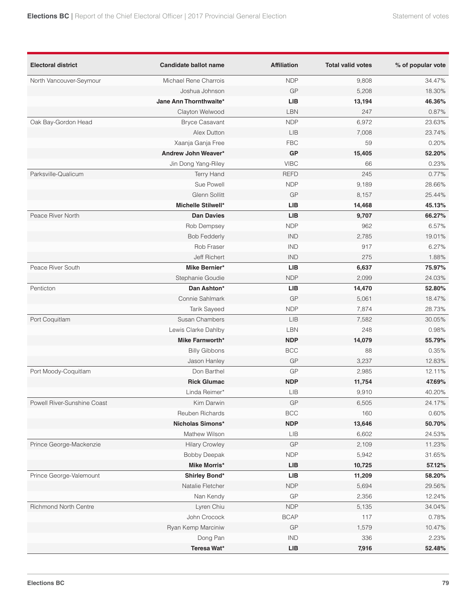| <b>Electoral district</b>    | <b>Candidate ballot name</b> | <b>Affiliation</b> | <b>Total valid votes</b> | % of popular vote |
|------------------------------|------------------------------|--------------------|--------------------------|-------------------|
| North Vancouver-Seymour      | Michael Rene Charrois        | <b>NDP</b>         | 9,808                    | 34.47%            |
|                              | Joshua Johnson               | GP                 | 5,208                    | 18.30%            |
|                              | Jane Ann Thornthwaite*       | <b>LIB</b>         | 13,194                   | 46.36%            |
|                              | Clayton Welwood              | <b>LBN</b>         | 247                      | 0.87%             |
| Oak Bay-Gordon Head          | <b>Bryce Casavant</b>        | <b>NDP</b>         | 6,972                    | 23.63%            |
|                              | Alex Dutton                  | LIB                | 7,008                    | 23.74%            |
|                              | Xaanja Ganja Free            | <b>FBC</b>         | 59                       | 0.20%             |
|                              | Andrew John Weaver*          | <b>GP</b>          | 15,405                   | 52.20%            |
|                              | Jin Dong Yang-Riley          | <b>VIBC</b>        | 66                       | 0.23%             |
| Parksville-Qualicum          | <b>Terry Hand</b>            | <b>REFD</b>        | 245                      | 0.77%             |
|                              | Sue Powell                   | <b>NDP</b>         | 9,189                    | 28.66%            |
|                              | Glenn Sollitt                | GP                 | 8,157                    | 25.44%            |
|                              | <b>Michelle Stilwell*</b>    | <b>LIB</b>         | 14,468                   | 45.13%            |
| Peace River North            | <b>Dan Davies</b>            | <b>LIB</b>         | 9,707                    | 66.27%            |
|                              | Rob Dempsey                  | <b>NDP</b>         | 962                      | 6.57%             |
|                              | <b>Bob Fedderly</b>          | <b>IND</b>         | 2,785                    | 19.01%            |
|                              | Rob Fraser                   | <b>IND</b>         | 917                      | 6.27%             |
|                              | Jeff Richert                 | <b>IND</b>         | 275                      | 1.88%             |
| Peace River South            | <b>Mike Bernier*</b>         | <b>LIB</b>         | 6,637                    | 75.97%            |
|                              | Stephanie Goudie             | <b>NDP</b>         | 2,099                    | 24.03%            |
| Penticton                    | Dan Ashton*                  | <b>LIB</b>         | 14,470                   | 52.80%            |
|                              | Connie Sahlmark              | GP                 | 5,061                    | 18.47%            |
|                              | Tarik Sayeed                 | <b>NDP</b>         | 7,874                    | 28.73%            |
| Port Coquitlam               | Susan Chambers               | LIB                | 7,582                    | 30.05%            |
|                              | Lewis Clarke Dahlby          | LBN                | 248                      | 0.98%             |
|                              | <b>Mike Farnworth*</b>       | <b>NDP</b>         | 14,079                   | 55.79%            |
|                              | <b>Billy Gibbons</b>         | <b>BCC</b>         | 88                       | 0.35%             |
|                              | Jason Hanley                 | GP                 | 3,237                    | 12.83%            |
| Port Moody-Coquitlam         | Don Barthel                  | GP                 | 2,985                    | 12.11%            |
|                              | <b>Rick Glumac</b>           | <b>NDP</b>         | 11,754                   | 47.69%            |
|                              | Linda Reimer*                | ${\sf LIB}$        | 9,910                    | 40.20%            |
| Powell River-Sunshine Coast  | Kim Darwin                   | GP                 | 6,505                    | 24.17%            |
|                              | Reuben Richards              | BCC                | 160                      | 0.60%             |
|                              | Nicholas Simons*             | <b>NDP</b>         | 13,646                   | 50.70%            |
|                              | Mathew Wilson                | ${\sf LIB}$        | 6,602                    | 24.53%            |
| Prince George-Mackenzie      | <b>Hilary Crowley</b>        | GP                 | 2,109                    | 11.23%            |
|                              | <b>Bobby Deepak</b>          | <b>NDP</b>         | 5,942                    | 31.65%            |
|                              | <b>Mike Morris*</b>          | <b>LIB</b>         | 10,725                   | 57.12%            |
| Prince George-Valemount      | Shirley Bond*                | LIB                | 11,209                   | 58.20%            |
|                              | Natalie Fletcher             | <b>NDP</b>         | 5,694                    | 29.56%            |
|                              | Nan Kendy                    | GP                 | 2,356                    | 12.24%            |
| <b>Richmond North Centre</b> | Lyren Chiu                   | <b>NDP</b>         | 5,135                    | 34.04%            |
|                              | John Crocock                 | <b>BCAP</b>        | 117                      | 0.78%             |
|                              | Ryan Kemp Marciniw           | GP                 | 1,579                    | 10.47%            |
|                              | Dong Pan                     | IND                | 336                      | 2.23%             |
|                              | Teresa Wat*                  | LIB                | 7,916                    | 52.48%            |
|                              |                              |                    |                          |                   |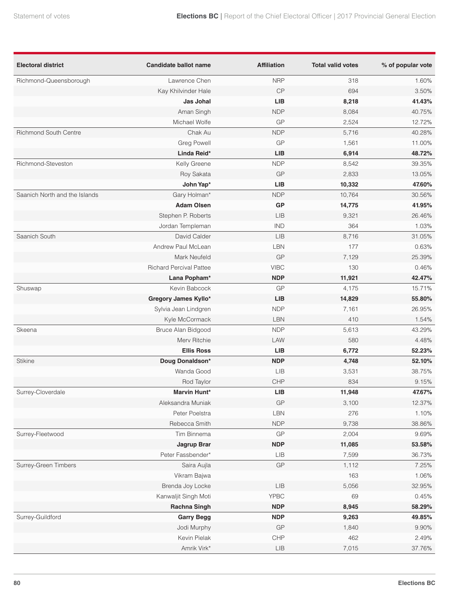| <b>Electoral district</b>     | <b>Candidate ballot name</b>   | <b>Affiliation</b> | <b>Total valid votes</b> | % of popular vote |
|-------------------------------|--------------------------------|--------------------|--------------------------|-------------------|
| Richmond-Queensborough        | Lawrence Chen                  | <b>NRP</b>         | 318                      | 1.60%             |
|                               | Kay Khilvinder Hale            | CP                 | 694                      | 3.50%             |
|                               | Jas Johal                      | <b>LIB</b>         | 8,218                    | 41.43%            |
|                               | Aman Singh                     | <b>NDP</b>         | 8,084                    | 40.75%            |
|                               | Michael Wolfe                  | GP                 | 2,524                    | 12.72%            |
| <b>Richmond South Centre</b>  | Chak Au                        | <b>NDP</b>         | 5,716                    | 40.28%            |
|                               | <b>Greg Powell</b>             | GP                 | 1,561                    | 11.00%            |
|                               | Linda Reid*                    | <b>LIB</b>         | 6,914                    | 48.72%            |
| Richmond-Steveston            | Kelly Greene                   | <b>NDP</b>         | 8,542                    | 39.35%            |
|                               | Roy Sakata                     | GP                 | 2,833                    | 13.05%            |
|                               | John Yap*                      | <b>LIB</b>         | 10,332                   | 47.60%            |
| Saanich North and the Islands | Gary Holman*                   | <b>NDP</b>         | 10,764                   | 30.56%            |
|                               | <b>Adam Olsen</b>              | GP                 | 14,775                   | 41.95%            |
|                               | Stephen P. Roberts             | <b>LIB</b>         | 9,321                    | 26.46%            |
|                               | Jordan Templeman               | <b>IND</b>         | 364                      | 1.03%             |
| Saanich South                 | David Calder                   | LIB                | 8,716                    | 31.05%            |
|                               | Andrew Paul McLean             | <b>LBN</b>         | 177                      | 0.63%             |
|                               | Mark Neufeld                   | GP                 | 7,129                    | 25.39%            |
|                               | <b>Richard Percival Pattee</b> | <b>VIBC</b>        | 130                      | 0.46%             |
|                               | Lana Popham*                   | <b>NDP</b>         | 11,921                   | 42.47%            |
| Shuswap                       | Kevin Babcock                  | GP                 | 4,175                    | 15.71%            |
|                               | Gregory James Kyllo*           | <b>LIB</b>         | 14,829                   | 55.80%            |
|                               | Sylvia Jean Lindgren           | <b>NDP</b>         | 7,161                    | 26.95%            |
|                               | Kyle McCormack                 | <b>LBN</b>         | 410                      | 1.54%             |
| Skeena                        | Bruce Alan Bidgood             | <b>NDP</b>         | 5,613                    | 43.29%            |
|                               | Merv Ritchie                   | LAW                | 580                      | 4.48%             |
|                               | <b>Ellis Ross</b>              | <b>LIB</b>         | 6,772                    | 52.23%            |
| Stikine                       | Doug Donaldson*                | <b>NDP</b>         | 4,748                    | 52.10%            |
|                               | Wanda Good                     | LIB                | 3,531                    | 38.75%            |
|                               | Rod Taylor                     | CHP                | 834                      | 9.15%             |
| Surrey-Cloverdale             | <b>Marvin Hunt*</b>            | <b>LIB</b>         | 11,948                   | 47.67%            |
|                               | Aleksandra Muniak              | GP                 | 3,100                    | 12.37%            |
|                               | Peter Poelstra                 | <b>LBN</b>         | 276                      | 1.10%             |
|                               | Rebecca Smith                  | <b>NDP</b>         | 9,738                    | 38.86%            |
| Surrey-Fleetwood              | Tim Binnema                    | GP<br><b>NDP</b>   | 2,004                    | 9.69%<br>53.58%   |
|                               | <b>Jagrup Brar</b>             |                    | 11,085                   |                   |
|                               | Peter Fassbender*              | <b>LIB</b><br>GP   | 7,599                    | 36.73%            |
| Surrey-Green Timbers          | Saira Aujla<br>Vikram Bajwa    |                    | 1,112<br>163             | 7.25%<br>1.06%    |
|                               | Brenda Joy Locke               | LIB                |                          | 32.95%            |
|                               | Kanwaljit Singh Moti           | YPBC               | 5,056<br>69              | 0.45%             |
|                               | <b>Rachna Singh</b>            | <b>NDP</b>         | 8,945                    | 58.29%            |
| Surrey-Guildford              | <b>Garry Begg</b>              | <b>NDP</b>         | 9,263                    | 49.85%            |
|                               | Jodi Murphy                    | GP                 | 1,840                    | 9.90%             |
|                               | Kevin Pielak                   | CHP                | 462                      | 2.49%             |
|                               | Amrik Virk*                    | LIB                | 7,015                    | 37.76%            |
|                               |                                |                    |                          |                   |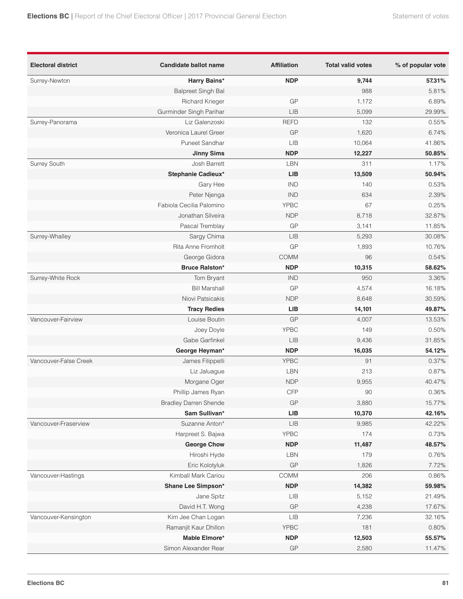| <b>Electoral district</b> | <b>Candidate ballot name</b> | <b>Affiliation</b> | <b>Total valid votes</b> | % of popular vote |
|---------------------------|------------------------------|--------------------|--------------------------|-------------------|
| Surrey-Newton             | Harry Bains*                 | <b>NDP</b>         | 9,744                    | 57.31%            |
|                           | <b>Balpreet Singh Bal</b>    |                    | 988                      | 5.81%             |
|                           | <b>Richard Krieger</b>       | GP                 | 1,172                    | 6.89%             |
|                           | Gurminder Singh Parihar      | LIB                | 5,099                    | 29.99%            |
| Surrey-Panorama           | Liz Galenzoski               | <b>REFD</b>        | 132                      | 0.55%             |
|                           | Veronica Laurel Greer        | GP                 | 1,620                    | 6.74%             |
|                           | Puneet Sandhar               | LIB                | 10,064                   | 41.86%            |
|                           | <b>Jinny Sims</b>            | <b>NDP</b>         | 12,227                   | 50.85%            |
| Surrey South              | Josh Barrett                 | <b>LBN</b>         | 311                      | 1.17%             |
|                           | Stephanie Cadieux*           | <b>LIB</b>         | 13,509                   | 50.94%            |
|                           | Gary Hee                     | <b>IND</b>         | 140                      | 0.53%             |
|                           | Peter Njenga                 | <b>IND</b>         | 634                      | 2.39%             |
|                           | Fabiola Cecilia Palomino     | YPBC               | 67                       | 0.25%             |
|                           | Jonathan Silveira            | <b>NDP</b>         | 8,718                    | 32.87%            |
|                           | Pascal Tremblay              | GP                 | 3,141                    | 11.85%            |
| Surrey-Whalley            | Sargy Chima                  | LIB                | 5,293                    | 30.08%            |
|                           | Rita Anne Fromholt           | GP                 | 1,893                    | 10.76%            |
|                           | George Gidora                | COMM               | 96                       | 0.54%             |
|                           | <b>Bruce Ralston*</b>        | <b>NDP</b>         | 10,315                   | 58.62%            |
| Surrey-White Rock         | Tom Bryant                   | <b>IND</b>         | 950                      | 3.36%             |
|                           | <b>Bill Marshall</b>         | GP                 | 4,574                    | 16.18%            |
|                           | Niovi Patsicakis             | <b>NDP</b>         | 8,648                    | 30.59%            |
|                           | <b>Tracy Redies</b>          | <b>LIB</b>         | 14,101                   | 49.87%            |
| Vancouver-Fairview        | Louise Boutin                | GP                 | 4,007                    | 13.53%            |
|                           | Joey Doyle                   | <b>YPBC</b>        | 149                      | 0.50%             |
|                           | Gabe Garfinkel               | LIB                | 9,436                    | 31.85%            |
|                           | George Heyman*               | <b>NDP</b>         | 16,035                   | 54.12%            |
| Vancouver-False Creek     | James Filippelli             | <b>YPBC</b>        | 91                       | 0.37%             |
|                           | Liz Jaluague                 | <b>LBN</b>         | 213                      | 0.87%             |
|                           | Morgane Oger                 | <b>NDP</b>         | 9,955                    | 40.47%            |
|                           | Phillip James Ryan           | <b>CFP</b>         | 90                       | 0.36%             |
|                           | <b>Bradley Darren Shende</b> | GP                 | 3,880                    | 15.77%            |
|                           | Sam Sullivan*                | LIB                | 10,370                   | 42.16%            |
| Vancouver-Fraserview      | Suzanne Anton*               | LIB                | 9,985                    | 42.22%            |
|                           | Harpreet S. Bajwa            | <b>YPBC</b>        | 174                      | 0.73%             |
|                           | <b>George Chow</b>           | <b>NDP</b>         | 11,487                   | 48.57%            |
|                           | Hiroshi Hyde                 | <b>LBN</b>         | 179                      | 0.76%             |
|                           | Eric Kolotyluk               | GP                 | 1,826                    | 7.72%             |
| Vancouver-Hastings        | Kimball Mark Cariou          | COMM               | 206                      | 0.86%             |
|                           | Shane Lee Simpson*           | <b>NDP</b>         | 14,382                   | 59.98%            |
|                           | Jane Spitz                   | LIB                | 5,152                    | 21.49%            |
|                           | David H.T. Wong              | GP                 | 4,238                    | 17.67%            |
| Vancouver-Kensington      | Kim Jee Chan Logan           | ${\sf LIB}$        | 7,236                    | 32.16%            |
|                           | Ramanjit Kaur Dhillon        | <b>YPBC</b>        | 181                      | 0.80%             |
|                           | Mable Elmore*                | <b>NDP</b>         | 12,503                   | 55.57%            |
|                           | Simon Alexander Rear         | GP                 | 2,580                    | 11.47%            |
|                           |                              |                    |                          |                   |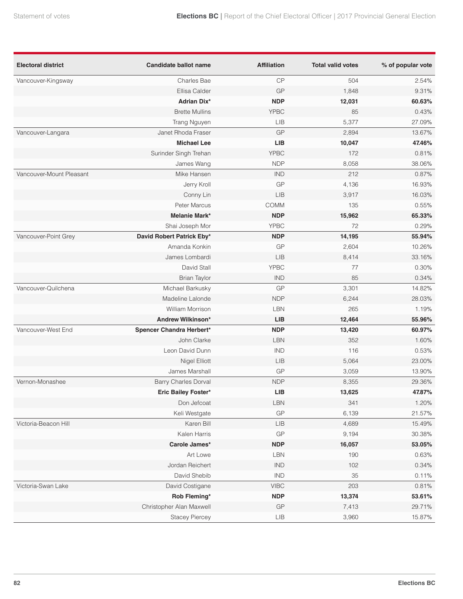| <b>Electoral district</b> | <b>Candidate ballot name</b> | <b>Affiliation</b> | <b>Total valid votes</b> | % of popular vote |
|---------------------------|------------------------------|--------------------|--------------------------|-------------------|
| Vancouver-Kingsway        | <b>Charles Bae</b>           | CP                 | 504                      | 2.54%             |
|                           | Ellisa Calder                | GP                 | 1,848                    | 9.31%             |
|                           | <b>Adrian Dix*</b>           | <b>NDP</b>         | 12,031                   | 60.63%            |
|                           | <b>Brette Mullins</b>        | <b>YPBC</b>        | 85                       | 0.43%             |
|                           | Trang Nguyen                 | LIB                | 5,377                    | 27.09%            |
| Vancouver-Langara         | Janet Rhoda Fraser           | GP                 | 2,894                    | 13.67%            |
|                           | <b>Michael Lee</b>           | <b>LIB</b>         | 10,047                   | 47.46%            |
|                           | Surinder Singh Trehan        | <b>YPBC</b>        | 172                      | 0.81%             |
|                           | James Wang                   | <b>NDP</b>         | 8,058                    | 38.06%            |
| Vancouver-Mount Pleasant  | Mike Hansen                  | <b>IND</b>         | 212                      | 0.87%             |
|                           | Jerry Kroll                  | GP                 | 4,136                    | 16.93%            |
|                           | Conny Lin                    | <b>LIB</b>         | 3,917                    | 16.03%            |
|                           | Peter Marcus                 | <b>COMM</b>        | 135                      | 0.55%             |
|                           | <b>Melanie Mark*</b>         | <b>NDP</b>         | 15,962                   | 65.33%            |
|                           | Shai Joseph Mor              | <b>YPBC</b>        | 72                       | 0.29%             |
| Vancouver-Point Grey      | David Robert Patrick Eby*    | <b>NDP</b>         | 14,195                   | 55.94%            |
|                           | Amanda Konkin                | GP                 | 2,604                    | 10.26%            |
|                           | James Lombardi               | LIB                | 8,414                    | 33.16%            |
|                           | David Stall                  | <b>YPBC</b>        | 77                       | 0.30%             |
|                           | <b>Brian Taylor</b>          | <b>IND</b>         | 85                       | 0.34%             |
| Vancouver-Quilchena       | Michael Barkusky             | GP                 | 3,301                    | 14.82%            |
|                           | Madeline Lalonde             | <b>NDP</b>         | 6,244                    | 28.03%            |
|                           | <b>William Morrison</b>      | <b>LBN</b>         | 265                      | 1.19%             |
|                           | Andrew Wilkinson*            | <b>LIB</b>         | 12,464                   | 55.96%            |
| Vancouver-West End        | Spencer Chandra Herbert*     | <b>NDP</b>         | 13,420                   | 60.97%            |
|                           | John Clarke                  | <b>LBN</b>         | 352                      | 1.60%             |
|                           | Leon David Dunn              | <b>IND</b>         | 116                      | 0.53%             |
|                           | Nigel Elliott                | <b>LIB</b>         | 5,064                    | 23.00%            |
|                           | James Marshall               | GP                 | 3,059                    | 13.90%            |
| Vernon-Monashee           | <b>Barry Charles Dorval</b>  | <b>NDP</b>         | 8,355                    | 29.36%            |
|                           | <b>Eric Bailey Foster*</b>   | <b>LIB</b>         | 13,625                   | 47.87%            |
|                           | Don Jefcoat                  | LBN                | 341                      | 1.20%             |
|                           | Keli Westgate                | GP                 | 6,139                    | 21.57%            |
| Victoria-Beacon Hill      | Karen Bill                   | LIB                | 4,689                    | 15.49%            |
|                           | Kalen Harris                 | GP                 | 9,194                    | 30.38%            |
|                           | Carole James*                | <b>NDP</b>         | 16,057                   | 53.05%            |
|                           | Art Lowe                     | LBN                | 190                      | 0.63%             |
|                           | Jordan Reichert              | $\mathsf{IND}$     | 102                      | 0.34%             |
|                           | David Shebib                 | <b>IND</b>         | 35                       | 0.11%             |
| Victoria-Swan Lake        | David Costigane              | <b>VIBC</b>        | 203                      | 0.81%             |
|                           | Rob Fleming*                 | <b>NDP</b>         | 13,374                   | 53.61%            |
|                           | Christopher Alan Maxwell     | ${\sf GP}$         | 7,413                    | 29.71%            |
|                           | <b>Stacey Piercey</b>        | ${\sf LIB}$        | 3,960                    | 15.87%            |